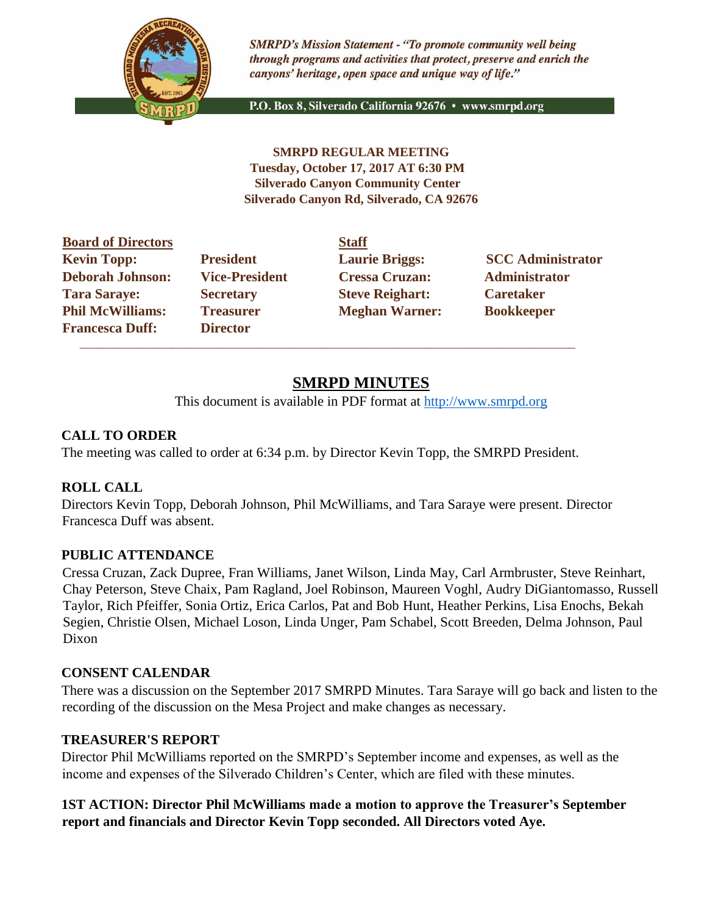

**SMRPD's Mission Statement - "To promote community well being** through programs and activities that protect, preserve and enrich the canyons' heritage, open space and unique way of life."

P.O. Box 8, Silverado California 92676 · www.smrpd.org

**SMRPD REGULAR MEETING Tuesday, October 17, 2017 AT 6:30 PM Silverado Canyon Community Center Silverado Canyon Rd, Silverado, CA 92676** 

| <b>Board of Directors</b> |                       | <b>Staff</b>           |                          |
|---------------------------|-----------------------|------------------------|--------------------------|
| <b>Kevin Topp:</b>        | <b>President</b>      | <b>Laurie Briggs:</b>  | <b>SCC Administrator</b> |
| <b>Deborah Johnson:</b>   | <b>Vice-President</b> | <b>Cressa Cruzan:</b>  | <b>Administrator</b>     |
| <b>Tara Saraye:</b>       | <b>Secretary</b>      | <b>Steve Reighart:</b> | <b>Caretaker</b>         |
| <b>Phil McWilliams:</b>   | <b>Treasurer</b>      | <b>Meghan Warner:</b>  | <b>Bookkeeper</b>        |
| <b>Francesca Duff:</b>    | <b>Director</b>       |                        |                          |

 $\overline{\phantom{a}}$  ,  $\overline{\phantom{a}}$  ,  $\overline{\phantom{a}}$  ,  $\overline{\phantom{a}}$  ,  $\overline{\phantom{a}}$  ,  $\overline{\phantom{a}}$  ,  $\overline{\phantom{a}}$  ,  $\overline{\phantom{a}}$  ,  $\overline{\phantom{a}}$  ,  $\overline{\phantom{a}}$  ,  $\overline{\phantom{a}}$  ,  $\overline{\phantom{a}}$  ,  $\overline{\phantom{a}}$  ,  $\overline{\phantom{a}}$  ,  $\overline{\phantom{a}}$  ,  $\overline{\phantom{a}}$ 

# **SMRPD MINUTES**

This document is available in PDF format at [http://www.smrpd.org](http://www.smrpd.org/)

## **CALL TO ORDER**

The meeting was called to order at 6:34 p.m. by Director Kevin Topp, the SMRPD President.

## **ROLL CALL**

Directors Kevin Topp, Deborah Johnson, Phil McWilliams, and Tara Saraye were present. Director Francesca Duff was absent.

## **PUBLIC ATTENDANCE**

Cressa Cruzan, Zack Dupree, Fran Williams, Janet Wilson, Linda May, Carl Armbruster, Steve Reinhart, Chay Peterson, Steve Chaix, Pam Ragland, Joel Robinson, Maureen Voghl, Audry DiGiantomasso, Russell Taylor, Rich Pfeiffer, Sonia Ortiz, Erica Carlos, Pat and Bob Hunt, Heather Perkins, Lisa Enochs, Bekah Segien, Christie Olsen, Michael Loson, Linda Unger, Pam Schabel, Scott Breeden, Delma Johnson, Paul Dixon

## **CONSENT CALENDAR**

There was a discussion on the September 2017 SMRPD Minutes. Tara Saraye will go back and listen to the recording of the discussion on the Mesa Project and make changes as necessary.

## **TREASURER'S REPORT**

Director Phil McWilliams reported on the SMRPD's September income and expenses, as well as the income and expenses of the Silverado Children's Center, which are filed with these minutes.

## **1ST ACTION: Director Phil McWilliams made a motion to approve the Treasurer's September report and financials and Director Kevin Topp seconded. All Directors voted Aye.**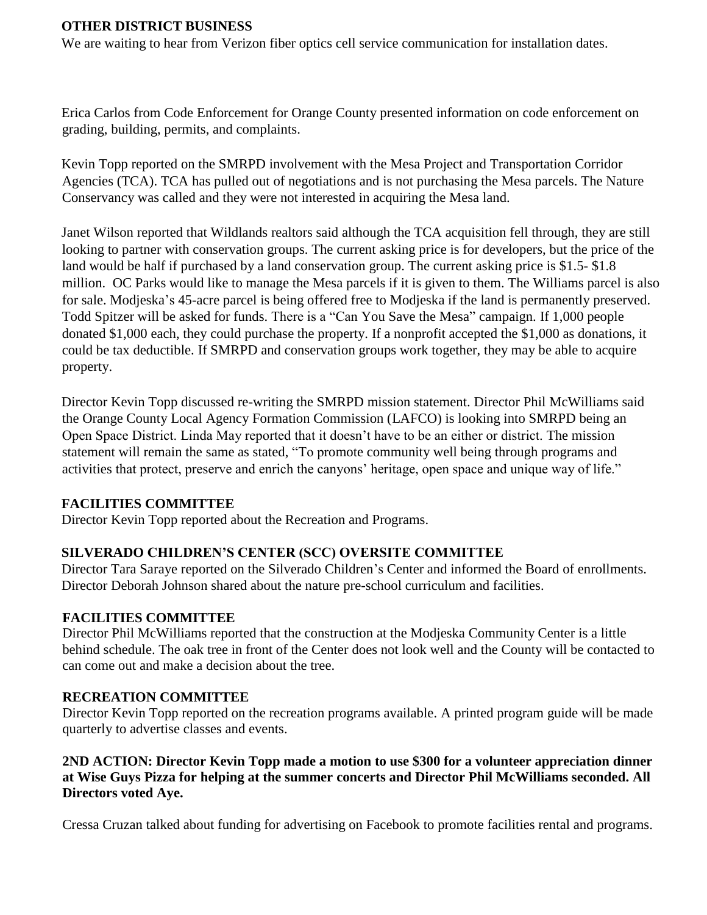#### **OTHER DISTRICT BUSINESS**

We are waiting to hear from Verizon fiber optics cell service communication for installation dates.

Erica Carlos from Code Enforcement for Orange County presented information on code enforcement on grading, building, permits, and complaints.

Kevin Topp reported on the SMRPD involvement with the Mesa Project and Transportation Corridor Agencies (TCA). TCA has pulled out of negotiations and is not purchasing the Mesa parcels. The Nature Conservancy was called and they were not interested in acquiring the Mesa land.

Janet Wilson reported that Wildlands realtors said although the TCA acquisition fell through, they are still looking to partner with conservation groups. The current asking price is for developers, but the price of the land would be half if purchased by a land conservation group. The current asking price is \$1.5- \$1.8 million. OC Parks would like to manage the Mesa parcels if it is given to them. The Williams parcel is also for sale. Modjeska's 45-acre parcel is being offered free to Modjeska if the land is permanently preserved. Todd Spitzer will be asked for funds. There is a "Can You Save the Mesa" campaign. If 1,000 people donated \$1,000 each, they could purchase the property. If a nonprofit accepted the \$1,000 as donations, it could be tax deductible. If SMRPD and conservation groups work together, they may be able to acquire property.

Director Kevin Topp discussed re-writing the SMRPD mission statement. Director Phil McWilliams said the Orange County Local Agency Formation Commission (LAFCO) is looking into SMRPD being an Open Space District. Linda May reported that it doesn't have to be an either or district. The mission statement will remain the same as stated, "To promote community well being through programs and activities that protect, preserve and enrich the canyons' heritage, open space and unique way of life."

## **FACILITIES COMMITTEE**

Director Kevin Topp reported about the Recreation and Programs.

## **SILVERADO CHILDREN'S CENTER (SCC) OVERSITE COMMITTEE**

Director Tara Saraye reported on the Silverado Children's Center and informed the Board of enrollments. Director Deborah Johnson shared about the nature pre-school curriculum and facilities.

#### **FACILITIES COMMITTEE**

Director Phil McWilliams reported that the construction at the Modjeska Community Center is a little behind schedule. The oak tree in front of the Center does not look well and the County will be contacted to can come out and make a decision about the tree.

## **RECREATION COMMITTEE**

Director Kevin Topp reported on the recreation programs available. A printed program guide will be made quarterly to advertise classes and events.

## **2ND ACTION: Director Kevin Topp made a motion to use \$300 for a volunteer appreciation dinner at Wise Guys Pizza for helping at the summer concerts and Director Phil McWilliams seconded. All Directors voted Aye.**

Cressa Cruzan talked about funding for advertising on Facebook to promote facilities rental and programs.